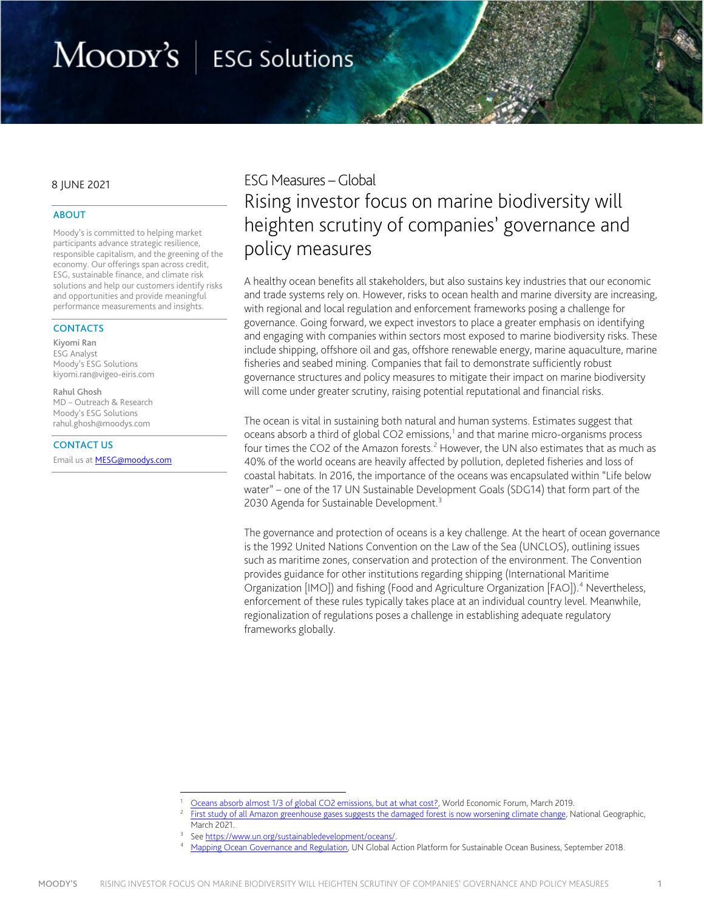# MOODY'S | ESG Solutions

### 8 JUNE 2021

### ABOUT

Moody's is committed to helping market participants advance strategic resilience, responsible capitalism, and the greening of the economy. Our offerings span across credit, ESG, sustainable finance, and climate risk solutions and help our customers identify risks and opportunities and provide meaningful performance measurements and insights.

### **CONTACTS**

Kiyomi Ran ESG Analyst Moody's ESG Solutions kiyomi.ran@vigeo-eiris.com

Rahul Ghosh MD – Outreach & Research Moody's ESG Solutions rahul.ghosh@moodys.com

### CONTACT US

Email us at **MESG@moodys.com** 

# ESG Measures –Global Rising investor focus on marine biodiversity will heighten scrutiny of companies' governance and policy measures

A healthy ocean benefits all stakeholders, but also sustains key industries that our economic and trade systems rely on. However, risks to ocean health and marine diversity are increasing, with regional and local regulation and enforcement frameworks posing a challenge for governance. Going forward, we expect investors to place a greater emphasis on identifying and engaging with companies within sectors most exposed to marine biodiversity risks. These include shipping, offshore oil and gas, offshore renewable energy, marine aquaculture, marine fisheries and seabed mining. Companies that fail to demonstrate sufficiently robust governance structures and policy measures to mitigate their impact on marine biodiversity will come under greater scrutiny, raising potential reputational and financial risks.

The ocean is vital in sustaining both natural and human systems. Estimates suggest that oceans absorb a third of global CO2 emissions, $1$  and that marine micro-organisms process four times the CO[2](#page-0-1) of the Amazon forests.<sup>2</sup> However, the UN also estimates that as much as 40% of the world oceans are heavily affected by pollution, depleted fisheries and loss of coastal habitats. In 2016, the importance of the oceans was encapsulated within "Life below water" – one of the 17 UN Sustainable Development Goals (SDG14) that form part of the 20[3](#page-0-2)0 Agenda for Sustainable Development.<sup>3</sup>

The governance and protection of oceans is a key challenge. At the heart of ocean governance is the 1992 United Nations Convention on the Law of the Sea (UNCLOS), outlining issues such as maritime zones, conservation and protection of the environment. The Convention provides guidance for other institutions regarding shipping (International Maritime Organization [IMO]) and fishing (Food and Agriculture Organization [FAO]).<sup>[4](#page-0-3)</sup> Nevertheless, enforcement of these rules typically takes place at an individual country level. Meanwhile, regionalization of regulations poses a challenge in establishing adequate regulatory frameworks globally.

<span id="page-0-1"></span><span id="page-0-0"></span>Oceans absorb almost 1/3 of global CO2 emissions, but at what cost?, World Economic Forum, March 2019.<br>[First study of all Amazon greenhouse gases suggests the damaged forest is now worsening climate change,](https://www.nationalgeographic.com/environment/article/amazon-rainforest-now-appears-to-be-contributing-to-climate-change) National Geogra March 2021.

<sup>3</sup> See [https://www.un.org/sustainabledevelopment/oceans/.](https://www.un.org/sustainabledevelopment/oceans/)

<span id="page-0-3"></span><span id="page-0-2"></span><sup>4</sup> [Mapping Ocean Governance and Regulation,](https://www.unglobalcompact.org/docs/publications/Mapping-Ocean-Governance-and-Regulation.pdf) UN Global Action Platform for Sustainable Ocean Business, September 2018.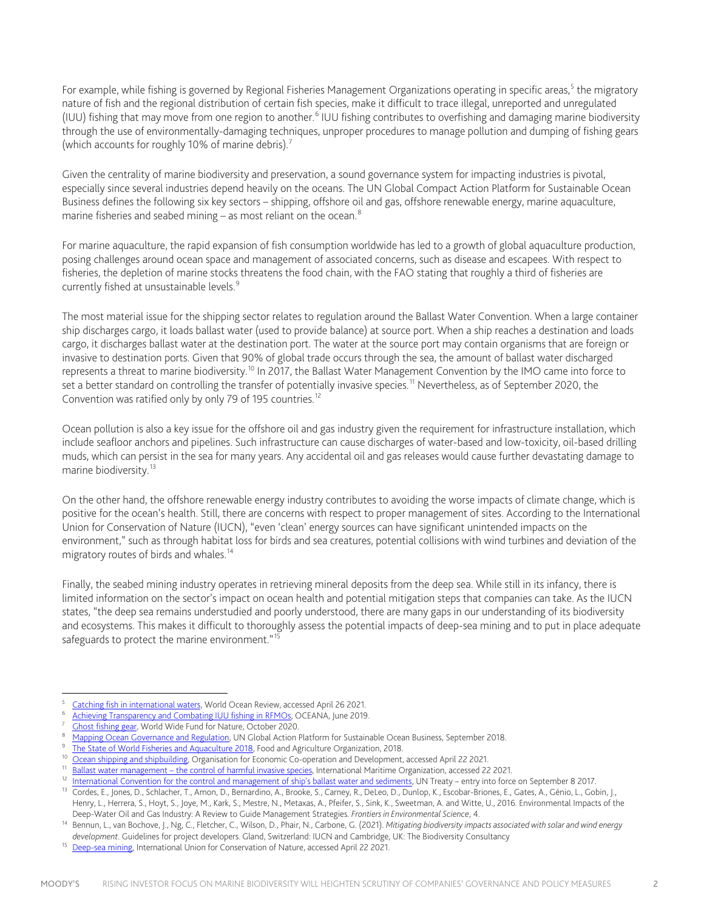For example, while fishing is governed by Regional Fisheries Management Organizations operating in specific areas,<sup>[5](#page-1-0)</sup> the migratory nature of fish and the regional distribution of certain fish species, make it difficult to trace illegal, unreported and unregulated (IUU) fishing that may move from one region to another.<sup>[6](#page-1-1)</sup> IUU fishing contributes to overfishing and damaging marine biodiversity through the use of environmentally-damaging techniques, unproper procedures to manage pollution and dumping of fishing gears (which accounts for roughly 10% of marine debris).<sup>[7](#page-1-2)</sup>

Given the centrality of marine biodiversity and preservation, a sound governance system for impacting industries is pivotal, especially since several industries depend heavily on the oceans. The UN Global Compact Action Platform for Sustainable Ocean Business defines the following six key sectors – shipping, offshore oil and gas, offshore renewable energy, marine aquaculture, marine fisheries and seabed mining  $-$  as most reliant on the ocean.<sup>[8](#page-1-3)</sup>

For marine aquaculture, the rapid expansion of fish consumption worldwide has led to a growth of global aquaculture production, posing challenges around ocean space and management of associated concerns, such as disease and escapees. With respect to fisheries, the depletion of marine stocks threatens the food chain, with the FAO stating that roughly a third of fisheries are currently fished at unsustainable levels.<sup>[9](#page-1-4)</sup>

The most material issue for the shipping sector relates to regulation around the Ballast Water Convention. When a large container ship discharges cargo, it loads ballast water (used to provide balance) at source port. When a ship reaches a destination and loads cargo, it discharges ballast water at the destination port. The water at the source port may contain organisms that are foreign or invasive to destination ports. Given that 90% of global trade occurs through the sea, the amount of ballast water discharged represents a threat to marine biodiversity.<sup>[10](#page-1-5)</sup> In 2017, the Ballast Water Management Convention by the IMO came into force to set a better standard on controlling the transfer of potentially invasive species.<sup>[11](#page-1-6)</sup> Nevertheless, as of September 2020, the Convention was ratified only by only 79 of 195 countries.<sup>[12](#page-1-7)</sup>

Ocean pollution is also a key issue for the offshore oil and gas industry given the requirement for infrastructure installation, which include seafloor anchors and pipelines. Such infrastructure can cause discharges of water-based and low-toxicity, oil-based drilling muds, which can persist in the sea for many years. Any accidental oil and gas releases would cause further devastating damage to marine biodiversity.<sup>[13](#page-1-8)</sup>

On the other hand, the offshore renewable energy industry contributes to avoiding the worse impacts of climate change, which is positive for the ocean's health. Still, there are concerns with respect to proper management of sites. According to the International Union for Conservation of Nature (IUCN), "even 'clean' energy sources can have significant unintended impacts on the environment," such as through habitat loss for birds and sea creatures, potential collisions with wind turbines and deviation of the migratory routes of birds and whales.<sup>[14](#page-1-9)</sup>

Finally, the seabed mining industry operates in retrieving mineral deposits from the deep sea. While still in its infancy, there is limited information on the sector's impact on ocean health and potential mitigation steps that companies can take. As the IUCN states, "the deep sea remains understudied and poorly understood, there are many gaps in our understanding of its biodiversity and ecosystems. This makes it difficult to thoroughly assess the potential impacts of deep-sea mining and to put in place adequate safeguards to protect the marine environment."<sup>[15](#page-1-10)</sup>

<span id="page-1-6"></span><span id="page-1-5"></span><sup>11</sup> Ballast water management – the control of harmful invasive species, International Maritime Organization, accessed 22 2021.<br><sup>12</sup> International Convention for the control and management of ship's ballast water and sedim

<span id="page-1-3"></span><span id="page-1-2"></span>

<span id="page-1-1"></span><span id="page-1-0"></span><sup>&</sup>lt;sup>5</sup> [Catching fish in international waters,](https://worldoceanreview.com/en/wor-2/fisheries/deep-sea-fishing/catching-fish-in-international-waters/) World Ocean Review, accessed April 26 2021.<br>
<sup>6</sup> [Achieving Transparency and Combating IUU fishing in RFMOs,](https://europe.oceana.org/en/publications/reports/achieving-transparency-and-combating-iuu-fishing-rfmos) OCEANA, June 2019.<br>
<sup>7</sup> Chost fishing gear, World Wide Fund for Nature,

<span id="page-1-4"></span>

<span id="page-1-8"></span><span id="page-1-7"></span><sup>&</sup>lt;sup>13</sup> Cordes, E., Jones, D., Schlacher, T., Amon, D., Bernardino, A., Brooke, S., Carney, R., DeLeo, D., Dunlop, K., Escobar-Briones, E., Gates, A., Génio, L., Gobin, J., Henry, L., Herrera, S., Hoyt, S., Joye, M., Kark, S., Mestre, N., Metaxas, A., Pfeifer, S., Sink, K., Sweetman, A. and Witte, U., 2016. Environmental Impacts of the Deep-Water Oil and Gas Industry: A Review to Guide Management Strategies. *Frontiers in Environmental Science*, 4.

<span id="page-1-9"></span><sup>14</sup> Bennun, L., van Bochove, J., Ng, C., Fletcher, C., Wilson, D., Phair, N., Carbone, G. (2021). *Mitigating biodiversity impacts associated with solar and wind energy development*. Guidelines for project developers. Gland, Switzerland: IUCN and Cambridge, UK: The Biodiversity Consultancy

<span id="page-1-10"></span><sup>&</sup>lt;sup>15</sup> [Deep-sea mining,](https://www.iucn.org/resources/issues-briefs/deep-sea-mining) International Union for Conservation of Nature, accessed April 22 2021.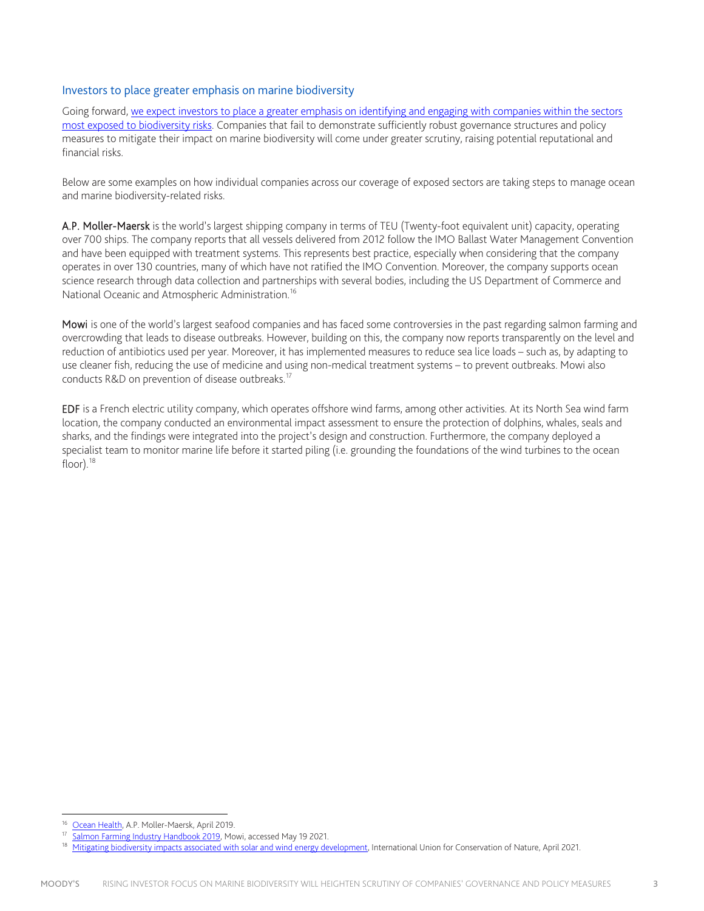# Investors to place greater emphasis on marine biodiversity

Going forward, [we expect investors to place a greater emphasis on identifying and engaging with companies within the sectors](https://assets.website-files.com/5df9172583d7eec04960799a/60af61a9367371598fa6b807_BX6580_MESG_Biodiversity%20Controversies_27.05%20(FINAL).pdf)  [most exposed to biodiversity risks.](https://assets.website-files.com/5df9172583d7eec04960799a/60af61a9367371598fa6b807_BX6580_MESG_Biodiversity%20Controversies_27.05%20(FINAL).pdf) Companies that fail to demonstrate sufficiently robust governance structures and policy measures to mitigate their impact on marine biodiversity will come under greater scrutiny, raising potential reputational and financial risks.

Below are some examples on how individual companies across our coverage of exposed sectors are taking steps to manage ocean and marine biodiversity-related risks.

A.P. Moller-Maersk is the world's largest shipping company in terms of TEU (Twenty-foot equivalent unit) capacity, operating over 700 ships. The company reports that all vessels delivered from 2012 follow the IMO Ballast Water Management Convention and have been equipped with treatment systems. This represents best practice, especially when considering that the company operates in over 130 countries, many of which have not ratified the IMO Convention. Moreover, the company supports ocean science research through data collection and partnerships with several bodies, including the US Department of Commerce and National Oceanic and Atmospheric Administration.<sup>[16](#page-2-0)</sup>

Mowi is one of the world's largest seafood companies and has faced some controversies in the past regarding salmon farming and overcrowding that leads to disease outbreaks. However, building on this, the company now reports transparently on the level and reduction of antibiotics used per year. Moreover, it has implemented measures to reduce sea lice loads – such as, by adapting to use cleaner fish, reducing the use of medicine and using non-medical treatment systems – to prevent outbreaks. Mowi also conducts R&D on prevention of disease outbreaks.<sup>[17](#page-2-1)</sup>

EDF is a French electric utility company, which operates offshore wind farms, among other activities. At its North Sea wind farm location, the company conducted an environmental impact assessment to ensure the protection of dolphins, whales, seals and sharks, and the findings were integrated into the project's design and construction. Furthermore, the company deployed a specialist team to monitor marine life before it started piling (i.e. grounding the foundations of the wind turbines to the ocean  $floor$ ).<sup>[18](#page-2-2)</sup>

<span id="page-2-0"></span><sup>&</sup>lt;sup>16</sup> [Ocean Health,](https://www.maersk.com/news/articles/2019/04/03/ocean-health) A.P. Moller-Maersk, April 2019.<br><sup>17</sup> Salmon Farming Industry Handbook 2019, Mowi, accessed May 19 2021.

<span id="page-2-2"></span><span id="page-2-1"></span><sup>&</sup>lt;sup>18</sup> [Mitigating biodiversity impacts associated with solar and wind energy development,](https://portals.iucn.org/library/sites/library/files/documents/2021-004-En.pdf) International Union for Conservation of Nature, April 2021.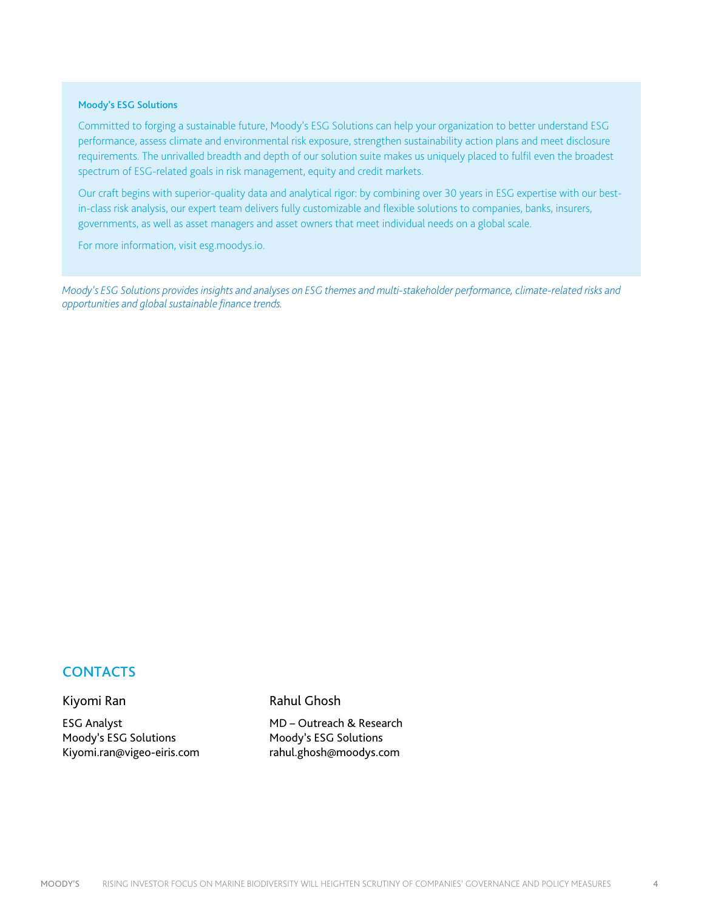## Moody's ESG Solutions

Committed to forging a sustainable future, Moody's ESG Solutions can help your organization to better understand ESG performance, assess climate and environmental risk exposure, strengthen sustainability action plans and meet disclosure requirements. The unrivalled breadth and depth of our solution suite makes us uniquely placed to fulfil even the broadest spectrum of ESG-related goals in risk management, equity and credit markets.

Our craft begins with superior-quality data and analytical rigor: by combining over 30 years in ESG expertise with our bestin-class risk analysis, our expert team delivers fully customizable and flexible solutions to companies, banks, insurers, governments, as well as asset managers and asset owners that meet individual needs on a global scale.

For more information, visit esg.moodys.io.

*Moody's ESG Solutions provides insights and analyses on ESG themes and multi-stakeholder performance, climate-related risks and opportunities and global sustainable finance trends.*

# **CONTACTS**

# Kiyomi Ran

ESG Analyst Moody's ESG Solutions Kiyomi.ran@vigeo-eiris.com Rahul Ghosh

MD – Outreach & Research Moody's ESG Solutions rahul.ghosh@moodys.com